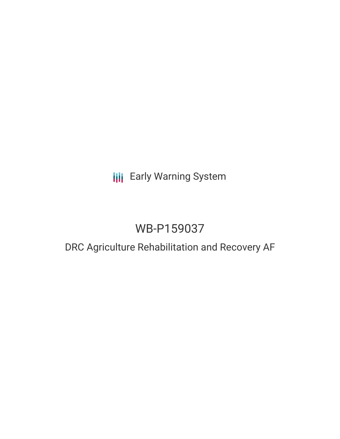# **III** Early Warning System

# WB-P159037

## DRC Agriculture Rehabilitation and Recovery AF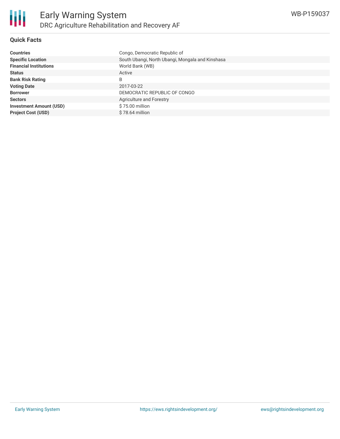

### **Quick Facts**

| <b>Countries</b>               | Congo, Democratic Republic of                    |
|--------------------------------|--------------------------------------------------|
| <b>Specific Location</b>       | South Ubangi, North Ubangi, Mongala and Kinshasa |
| <b>Financial Institutions</b>  | World Bank (WB)                                  |
| <b>Status</b>                  | Active                                           |
| <b>Bank Risk Rating</b>        | B                                                |
| <b>Voting Date</b>             | 2017-03-22                                       |
| <b>Borrower</b>                | DEMOCRATIC REPUBLIC OF CONGO                     |
| <b>Sectors</b>                 | <b>Agriculture and Forestry</b>                  |
| <b>Investment Amount (USD)</b> | $$75.00$ million                                 |
| <b>Project Cost (USD)</b>      | $$78.64$ million                                 |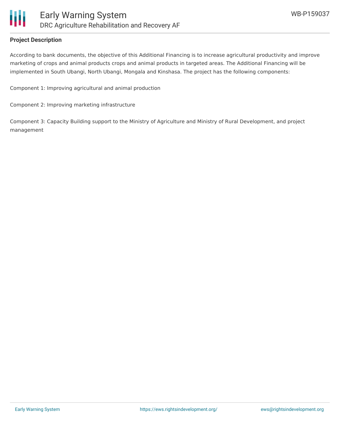

#### **Project Description**

According to bank documents, the objective of this Additional Financing is to increase agricultural productivity and improve marketing of crops and animal products crops and animal products in targeted areas. The Additional Financing will be implemented in South Ubangi, North Ubangi, Mongala and Kinshasa. The project has the following components:

Component 1: Improving agricultural and animal production

Component 2: Improving marketing infrastructure

Component 3: Capacity Building support to the Ministry of Agriculture and Ministry of Rural Development, and project management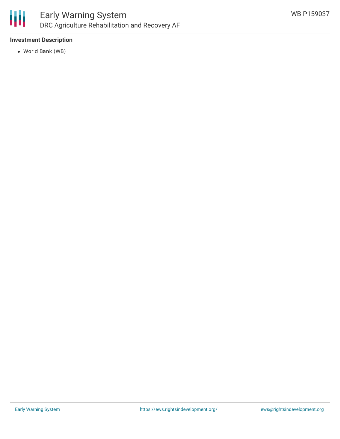

### **Investment Description**

World Bank (WB)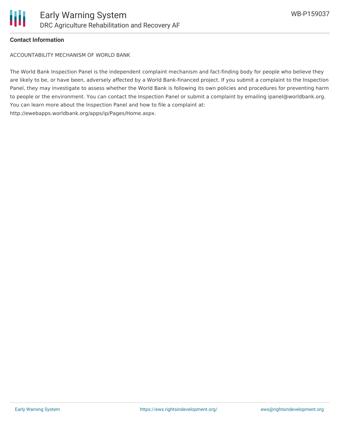

#### **Contact Information**

ACCOUNTABILITY MECHANISM OF WORLD BANK

The World Bank Inspection Panel is the independent complaint mechanism and fact-finding body for people who believe they are likely to be, or have been, adversely affected by a World Bank-financed project. If you submit a complaint to the Inspection Panel, they may investigate to assess whether the World Bank is following its own policies and procedures for preventing harm to people or the environment. You can contact the Inspection Panel or submit a complaint by emailing ipanel@worldbank.org. You can learn more about the Inspection Panel and how to file a complaint at: http://ewebapps.worldbank.org/apps/ip/Pages/Home.aspx.